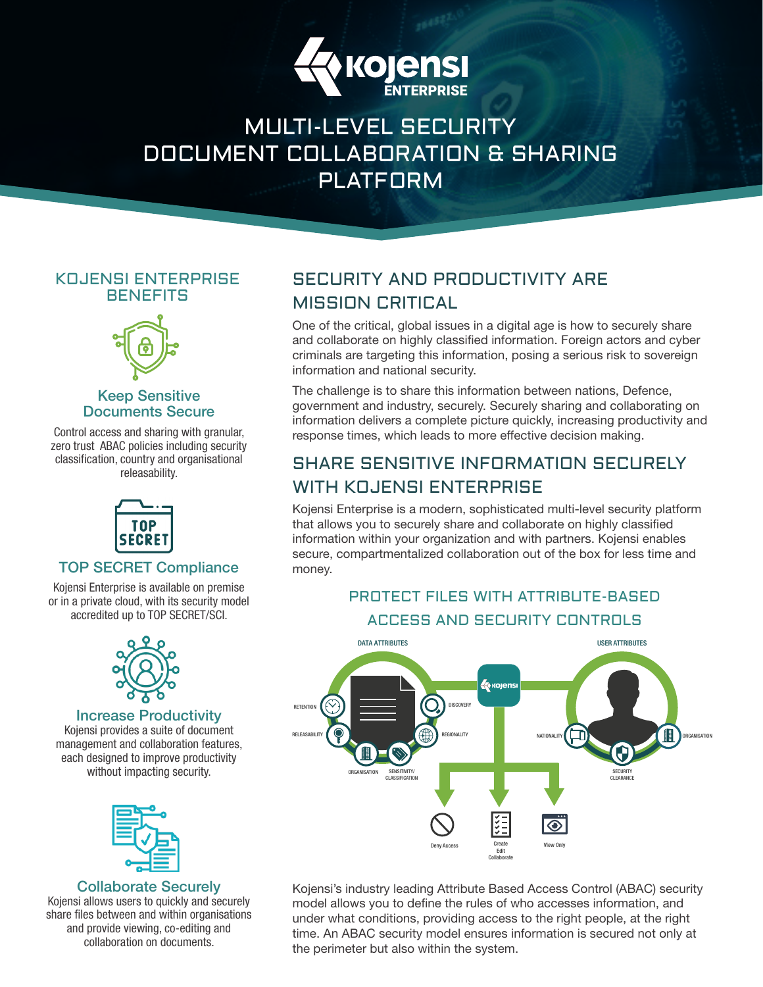

# MULTI-LEVEL SECURITY DOCUMENT COLLABORATION & SHARING PLATFORM

# KOJENSI ENTERPRISE **BENEFITS**



## Keep Sensitive Documents Secure

Control access and sharing with granular, zero trust ABAC policies including security classification, country and organisational releasability.



## TOP SECRET Compliance

Kojensi Enterprise is available on premise or in a private cloud, with its security model accredited up to TOP SECRET/SCI.



#### Increase Productivity

Kojensi provides a suite of document management and collaboration features, each designed to improve productivity without impacting security.



### Collaborate Securely

Kojensi allows users to quickly and securely share files between and within organisations and provide viewing, co-editing and collaboration on documents.

# SECURITY AND PRODUCTIVITY ARE MISSION CRITICAL

One of the critical, global issues in a digital age is how to securely share and collaborate on highly classified information. Foreign actors and cyber criminals are targeting this information, posing a serious risk to sovereign information and national security.

The challenge is to share this information between nations, Defence, government and industry, securely. Securely sharing and collaborating on information delivers a complete picture quickly, increasing productivity and response times, which leads to more effective decision making.

# SHARE SENSITIVE INFORMATION SECURELY WITH KOJENSI ENTERPRISE

Kojensi Enterprise is a modern, sophisticated multi-level security platform that allows you to securely share and collaborate on highly classified information within your organization and with partners. Kojensi enables secure, compartmentalized collaboration out of the box for less time and money.

# PROTECT FILES WITH ATTRIBUTE-BASED ACCESS AND SECURITY CONTROLS



Kojensi's industry leading Attribute Based Access Control (ABAC) security model allows you to define the rules of who accesses information, and under what conditions, providing access to the right people, at the right time. An ABAC security model ensures information is secured not only at the perimeter but also within the system.